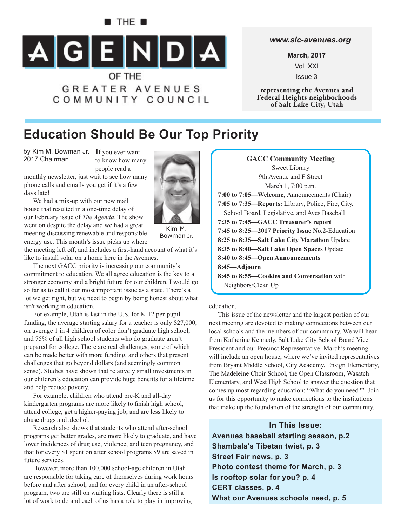### $\blacksquare$  The  $\blacksquare$



COMMUNITY COUNCIL

#### *www.slc-avenues.org*

**March, 2017** Vol. XXI Issue 3

**representing the Avenues and Federal Heights neighborhoods of Salt Lake City, Utah**

# **Education Should Be Our Top Priority**

by Kim M. Bowman Jr. If you ever want 2017 Chairman

to know how many people read a

monthly newsletter, just wait to see how many phone calls and emails you get if it's a few days late!

We had a mix-up with our new mail house that resulted in a one-time delay of our February issue of *The Agenda*. The show went on despite the delay and we had a great meeting discussing renewable and responsible energy use. This month's issue picks up where

Kim M. Bowman Jr.

the meeting left off, and includes a first-hand account of what it's like to install solar on a home here in the Avenues.

The next GACC priority is increasing our community's commitment to education. We all agree education is the key to a stronger economy and a bright future for our children. I would go so far as to call it our most important issue as a state. There's a lot we get right, but we need to begin by being honest about what isn't working in education.

For example, Utah is last in the U.S. for K-12 per-pupil funding, the average starting salary for a teacher is only \$27,000, on average 1 in 4 children of color don't graduate high school, and 75% of all high school students who do graduate aren't prepared for college. There are real challenges, some of which can be made better with more funding, and others that present challenges that go beyond dollars (and seemingly common sense). Studies have shown that relatively small investments in our children's education can provide huge benefits for a lifetime and help reduce poverty.

For example, children who attend pre-K and all-day kindergarten programs are more likely to finish high school, attend college, get a higher-paying job, and are less likely to abuse drugs and alcohol.

Research also shows that students who attend after-school programs get better grades, are more likely to graduate, and have lower incidences of drug use, violence, and teen pregnancy, and that for every \$1 spent on after school programs \$9 are saved in future services.

However, more than 100,000 school-age children in Utah are responsible for taking care of themselves during work hours before and after school, and for every child in an after-school program, two are still on waiting lists. Clearly there is still a lot of work to do and each of us has a role to play in improving

**GACC Community Meeting** Sweet Library 9th Avenue and F Street March 1, 7:00 p.m. **7:00 to 7:05—Welcome,** Announcements (Chair) **7:05 to 7:35—Reports:** Library, Police, Fire, City, School Board, Legislative, and Aves Baseball **7:35 to 7:45—GACC Treasurer's report 7:45 to 8:25—2017 Priority Issue No.2-**Education **8:25 to 8:35—Salt Lake City Marathon** Update **8:35 to 8:40—Salt Lake Open Spaces** Update **8:40 to 8:45—Open Announcements 8:45—Adjourn 8:45 to 8:55—Cookies and Conversation** with Neighbors/Clean Up

education.

This issue of the newsletter and the largest portion of our next meeting are devoted to making connections between our local schools and the members of our community. We will hear from Katherine Kennedy, Salt Lake City School Board Vice President and our Precinct Representative. March's meeting will include an open house, where we've invited representatives from Bryant Middle School, City Academy, Ensign Elementary, The Madeleine Choir School, the Open Classroom, Wasatch Elementary, and West High School to answer the question that comes up most regarding education: "What do you need?" Join us for this opportunity to make connections to the institutions that make up the foundation of the strength of our community.

**In This Issue: Avenues baseball starting season, p.2 Shambala's Tibetan twist, p. 3 Street Fair news, p. 3 Photo contest theme for March, p. 3 Is rooftop solar for you? p. 4 CERT classes, p. 4 What our Avenues schools need, p. 5**

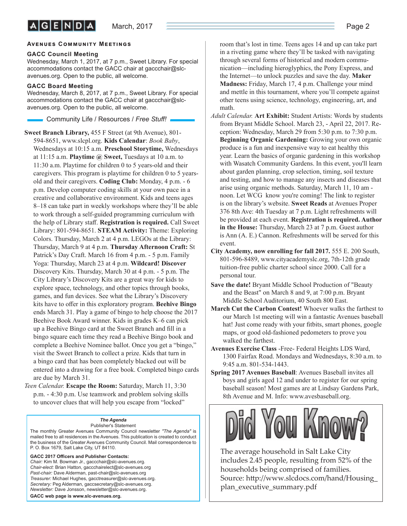#### **AVENUES COMMUNITY MEETINGS**

#### **GACC Council Meeting**

Wednesday, March 1, 2017, at 7 p.m., Sweet Library. For special accommodations contact the GACC chair at gaccchair@slcavenues.org. Open to the public, all welcome.

#### **GACC Board Meeting**

Wednesday, March 8, 2017, at 7 p.m., Sweet Library. For special accommodations contact the GACC chair at gaccchair@slcavenues.org. Open to the public, all welcome.

Community Life / Resources / *Free Stuff !*

**Sweet Branch Library,** 455 F Street (at 9th Avenue), 801- 594-8651, www.slcpl.org. **Kids Calendar**: *Book Baby*, Wednesdays at 10:15 a.m. **Preschool Storytime,** Wednesdays at 11:15 a.m. **Playtime @ Sweet,** Tuesdays at 10 a.m. to 11:30 a.m. Playtime for children 0 to 5 years-old and their caregivers. This program is playtime for children 0 to 5 yearsold and their caregivers. **Coding Club:** Monday, 4 p.m. - 6 p.m. Develop computer coding skills at your own pace in a creative and collaborative environment. Kids and teens ages 8–18 can take part in weekly workshops where they'll be able to work through a self-guided programming curriculum with the help of Library staff. Registration is required. Call Sweet Library: 801-594-8651. **STEAM Activity:** Theme: Exploring Colors. Thursday, March 2 at 4 p.m. LEGOs at the Library: Thursday, March 9 at 4 p.m. **Thursday Afternoon Craft:** St Patrick's Day Craft. March 16 from 4 p.m. - 5 p.m. Family Yoga: Thursday, March 23 at 4 p.m. **Wildcard! Discover** Discovery Kits. Thursday, March 30 at 4 p.m. - 5 p.m. The City Library's Discovery Kits are a great way for kids to explore space, technology, and other topics through books, games, and fun devices. See what the Library's Discovery kits have to offer in this exploratory program. **Beehive Bingo** ends March 31. Play a game of bingo to help choose the 2017 Beehive Book Award winner. Kids in grades K–6 can pick up a Beehive Bingo card at the Sweet Branch and fill in a bingo square each time they read a Beehive Bingo book and complete a Beehive Nominee ballot. Once you get a "bingo," visit the Sweet Branch to collect a prize. Kids that turn in a bingo card that has been completely blacked out will be entered into a drawing for a free book. Completed bingo cards are due by March 31.

*Teen Calendar.* **Escape the Room:** Saturday, March 11, 3:30 p.m. - 4:30 p.m. Use teamwork and problem solving skills to uncover clues that will help you escape from "locked"

#### *The Agenda*

Publisher's Statement The monthly Greater Avenues Community Council newsletter *"The Agenda"* is mailed free to all residences in the Avenues. This publication is created to conduct the business of the Greater Avenues Community Council. Mail correspondence to P. O. Box 1679, Salt Lake City, UT 84110.

GACC 2017 Officers and Publisher Contacts: *Chair:* Kim M. Bowman Jr., gaccchair@slc-avenues.org. *Chair-elect:* Brian Hatton, gaccchairelect@slc-avenues.org *Past-chair:* Dave Alderman, past-chair@slc-avenues.org *Treasurer:* Michael Hughes, gacctreasurer@slc-avenues.org. *Secretary:* Peg Alderman, gaccsecretary@slc-avenues.org. *Newsletter:* Dave Jonsson, newsletter@slc-avenues.org. **GACC web page is www.slc-avenues.org.**

room that's lost in time. Teens ages 14 and up can take part in a riveting game where they'll be tasked with navigating through several forms of historical and modern communication—including hieroglyphics, the Pony Express, and the Internet—to unlock puzzles and save the day. **Maker Madness:** Friday, March 17, 4 p.m. Challenge your mind and mettle in this tournament, where you'll compete against other teens using science, technology, engineering, art, and math.

- *Adult Calendar.* **Art Exhibit:** Student Artists: Words by students from Bryant Middle School. March 23, - April 22, 2017. Reception: Wednesday, March 29 from 5:30 p.m. to 7:30 p.m. **Beginning Organic Gardening:** Growing your own organic produce is a fun and inexpensive way to eat healthy this year. Learn the basics of organic gardening in this workshop with Wasatch Community Gardens. In this event, you'll learn about garden planning, crop selection, timing, soil texture and testing, and how to manage any insects and diseases that arise using organic methods. Saturday, March 11, 10 am noon. Let WCG know you're coming! The link to register is on the library's website. **Sweet Reads** at Avenues Proper 376 8th Ave: 4th Tuesday at 7 p.m. Light refreshments will be provided at each event. **Registration is required. Author in the House:** Thursday, March 23 at 7 p.m. Guest author is Ann (A. E.) Cannon. Refreshments will be served for this event.
- **City Academy, now enrolling for fall 2017.** 555 E. 200 South, 801-596-8489, www.cityacademyslc.org, 7th-12th grade tuition-free public charter school since 2000. Call for a personal tour.
- **Save the date!** Bryant Middle School Production of "Beauty and the Beast" on March 8 and 9, at 7:00 p.m. Bryant Middle School Auditorium, 40 South 800 East.
- **March Cut the Carbon Contest!** Whoever walks the farthest to our March 1st meeting will win a fantastic Avenues baseball hat! Just come ready with your fitbits, smart phones, google maps, or good old-fashioned pedometers to prove you walked the farthest.
- **Avenues Exercise Class** -Free- Federal Heights LDS Ward, 1300 Fairfax Road. Mondays and Wednesdays, 8:30 a.m. to 9:45 a.m. 801-534-1443.
- **Spring 2017 Avenues Baseball**: Avenues Baseball invites all boys and girls aged 12 and under to register for our spring baseball season! Most games are at Lindsay Gardens Park, 8th Avenue and M. Info: www.avesbaseball.org.



The average household in Salt Lake City includes 2.45 people, resulting from 52% of the households being comprised of families. Source: http://www.slcdocs.com/hand/Housing plan\_executive\_summary.pdf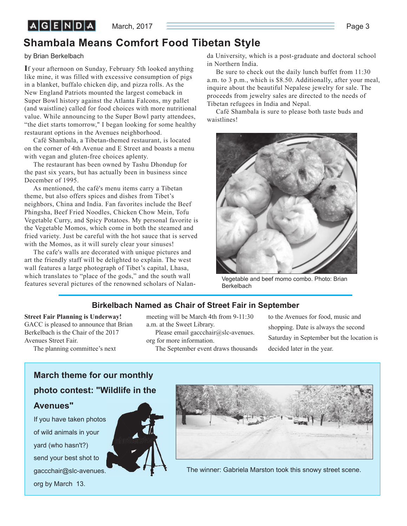March, 2017  $\qquad \qquad$  Page 3

## **Shambala Means Comfort Food Tibetan Style**

by Brian Berkelbach

**I**f your afternoon on Sunday, February 5th looked anything like mine, it was filled with excessive consumption of pigs in a blanket, buffalo chicken dip, and pizza rolls. As the New England Patriots mounted the largest comeback in Super Bowl history against the Atlanta Falcons, my pallet (and waistline) called for food choices with more nutritional value. While announcing to the Super Bowl party attendees, "the diet starts tomorrow," I began looking for some healthy restaurant options in the Avenues neighborhood.

Café Shambala, a Tibetan-themed restaurant, is located on the corner of 4th Avenue and E Street and boasts a menu with vegan and gluten-free choices aplenty.

The restaurant has been owned by Tashu Dhondup for the past six years, but has actually been in business since December of 1995.

As mentioned, the café's menu items carry a Tibetan theme, but also offers spices and dishes from Tibet's neighbors, China and India. Fan favorites include the Beef Phingsha, Beef Fried Noodles, Chicken Chow Mein, Tofu Vegetable Curry, and Spicy Potatoes. My personal favorite is the Vegetable Momos, which come in both the steamed and fried variety. Just be careful with the hot sauce that is served with the Momos, as it will surely clear your sinuses!

The cafe's walls are decorated with unique pictures and art the friendly staff will be delighted to explain. The west wall features a large photograph of Tibet's capital, Lhasa, which translates to "place of the gods," and the south wall features several pictures of the renowned scholars of Nalanda University, which is a post-graduate and doctoral school in Northern India.

Be sure to check out the daily lunch buffet from 11:30 a.m. to 3 p.m., which is \$8.50. Additionally, after your meal, inquire about the beautiful Nepalese jewelry for sale. The proceeds from jewelry sales are directed to the needs of Tibetan refugees in India and Nepal.

Café Shambala is sure to please both taste buds and waistlines!



Vegetable and beef momo combo. Photo: Brian Berkelbach

### **Birkelbach Named as Chair of Street Fair in September**

**Street Fair Planning is Underway!** GACC is pleased to announce that Brian Berkelbach is the Chair of the 2017 Avenues Street Fair.

The planning committee's next

meeting will be March 4th from 9-11:30 a.m. at the Sweet Library.

Please email gaccchair@slc-avenues. org for more information.

The September event draws thousands

to the Avenues for food, music and shopping. Date is always the second Saturday in September but the location is decided later in the year.

## **March theme for our monthly photo contest: "Wildlife in the Avenues"**

If you have taken photos of wild animals in your yard (who hasn't?) send your best shot to gaccchair@slc-avenues. org by March 13.



The winner: Gabriela Marston took this snowy street scene.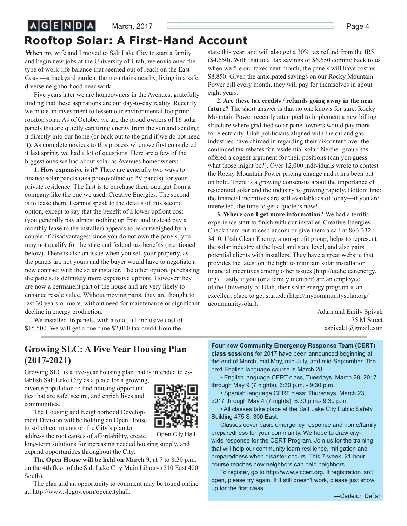#### March, 2017  $\overline{\qquad}$  Page 4

# **Rooftop Solar: A First-Hand Account**

**W**hen my wife and I moved to Salt Lake City to start a family and begin new jobs at the University of Utah, we envisioned the type of work-life balance that seemed out of reach on the East Coast—a backyard garden, the mountains nearby, living in a safe, diverse neighborhood near work.

 $A$  $G$  $E$  $N$  $D$  $A$ 

Five years later we are homeowners in the Avenues, gratefully finding that these aspirations are our day-to-day reality. Recently we made an investment to lessen our environmental footprint: rooftop solar. As of October we are the proud owners of 16 solar panels that are quietly capturing energy from the sun and sending it directly into our home (or back out to the grid if we do not need it). As complete novices to this process when we first considered it last spring, we had a lot of questions. Here are a few of the biggest ones we had about solar as Avenues homeowners:

**1. How expensive is it?** There are generally two ways to finance solar panels (aka photovoltaic or PV panels) for your private residence. The first is to purchase them outright from a company like the one we used, Creative Energies. The second is to lease them. I cannot speak to the details of this second option, except to say that the benefit of a lower upfront cost (you generally pay almost nothing up front and instead pay a monthly lease to the installer) appears to be outweighed by a couple of disadvantages: since you do not own the panels, you may not qualify for the state and federal tax benefits (mentioned below). There is also an issue when you sell your property, as the panels are not yours and the buyer would have to negotiate a new contract with the solar installer. The other option, purchasing the panels, is definitely more expensive upfront. However they are now a permanent part of the house and are very likely to enhance resale value. Without moving parts, they are thought to last 30 years or more, without need for maintenance or significant decline in energy production.

We installed 16 panels, with a total, all-inclusive cost of \$15,500. We will get a one-time \$2,000 tax credit from the

state this year, and will also get a 30% tax refund from the IRS (\$4,650). With that total tax savings of \$6,650 coming back to us when we file our taxes next month, the panels will have cost us \$8,850. Given the anticipated savings on our Rocky Mountain Power bill every month, they will pay for themselves in about eight years.

**2. Are these tax credits / refunds going away in the near future?** The short answer is that no one knows for sure. Rocky Mountain Power recently attempted to implement a new billing structure where grid-tied solar panel owners would pay more for electricity. Utah politicians aligned with the oil and gas industries have chimed in regarding their discontent over the continued tax rebates for residential solar. Neither group has offered a cogent argument for their positions (can you guess what those might be?). Over 12,000 individuals wrote to contest the Rocky Mountain Power pricing change and it has been put on hold. There is a growing consensus about the importance of residential solar and the industry is growing rapidly. Bottom line: the financial incentives are still available as of today—if you are interested, the time to get a quote is now!

**3. Where can I get more information?** We had a terrific experience start to finish with our installer, Creative Energies. Check them out at cesolar.com or give them a call at 866-332- 3410. Utah Clean Energy, a non-profit group, helps to represent the solar industry at the local and state level, and also pairs potential clients with installers. They have a great website that provides the latest on the fight to maintain solar installation financial incentives among other issues (http://utahcleanenergy. org). Lastly if you (or a family member) are an employee of the University of Utah, their solar energy program is an excellent place to get started: (http://mycommunitysolar.org/ ucommunitysolar).

> Adam and Emily Spivak 75 M Street aspivak1@gmail.com

### **Growing SLC: A Five Year Housing Plan (2017-2021)**

Growing SLC is a five-year housing plan that is intended to establish Salt Lake City as a place for a growing,

diverse population to find housing opportunities that are safe, secure, and enrich lives and communities.



The Housing and Neighborhood Development Division will be holding an Open House to solicit comments on the City's plan to

Open City Hall

address the root causes of affordability, create long-term solutions for increasing needed housing supply, and expand opportunities throughout the City.

**The Open House will be held on March 9,** at 7 to 8:30 p.m. on the 4th floor of the Salt Lake City Main Library (210 East 400 South).

The plan and an opportunity to comment may be found online at: http://www.slcgov.com/opencityhall.

**Four new Community Emergency Response Team (CERT)** 

**class sessions** for 2017 have been announced beginning at the end of March, mid May, mid-July, and mid-September. The next English language course is March 28:

• English language CERT class, Tuesdays, March 28, 2017 through May 9 (7 nights), 6:30 p.m. - 9:30 p.m.

• Spanish language CERT class: Thursdays, March 23, 2017 through May 4 (7 nights), 6:30 p.m.- 9:30 p.m.

• All classes take place at the Salt Lake City Public Safety Building 475 S. 300 East.

Classes cover basic emergency response and home/family preparedness for your community. We hope to draw citywide response for the CERT Program. Join us for the training that will help our community learn resilience, mitigation and preparedness when disaster occurs. This 7-week, 21-hour course teaches how neighbors can help neighbors.

To register, go to http://www.slccert.org. If registration isn't open, please try again. If it still doesn't work, please just show up for the first class.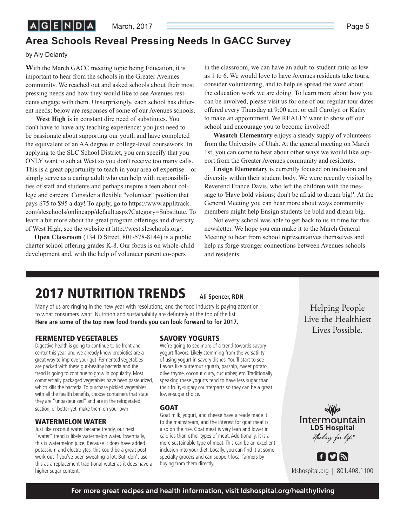### **Area Schools Reveal Pressing Needs In GACC Survey**

by Aly Delanty

**W**ith the March GACC meeting topic being Education, it is important to hear from the schools in the Greater Avenues community. We reached out and asked schools about their most pressing needs and how they would like to see Avenues residents engage with them. Unsurprisingly, each school has different needs; below are responses of some of our Avenues schools.

**West High** is in constant dire need of substitutes. You don't have to have any teaching experience; you just need to be passionate about supporting our youth and have completed the equivalent of an AA degree in college-level coursework. In applying to the SLC School District, you can specify that you ONLY want to sub at West so you don't receive too many calls. This is a great opportunity to teach in your area of expertise—or simply serve as a caring adult who can help with responsibilities of staff and students and perhaps inspire a teen about college and careers. Consider a flexible "volunteer" position that pays \$75 to \$95 a day! To apply, go to https://www.applitrack. com/slcschools/onlineapp/default.aspx?Category=Substitute. To learn a bit more about the great program offerings and diversity of West High, see the website at http://west.slcschools.org/.

**Open Classroom** (134 D Street, 801-578-8144) is a public charter school offering grades K-8. Our focus is on whole-child development and, with the help of volunteer parent co-opers

in the classroom, we can have an adult-to-student ratio as low as 1 to 6. We would love to have Avenues residents take tours, consider volunteering, and to help us spread the word about the education work we are doing. To learn more about how you can be involved, please visit us for one of our regular tour dates offered every Thursday at 9:00 a.m. or call Carolyn or Kathy to make an appointment. We REALLY want to show off our school and encourage you to become involved!

**Wasatch Elementary** enjoys a steady supply of volunteers from the University of Utah. At the general meeting on March 1st, you can come to hear about other ways we would like support from the Greater Avenues community and residents.

**Ensign Elementary** is currently focused on inclusion and diversity within their student body. We were recently visited by Reverend France Davis, who left the children with the message to 'Have bold visions; don't be afraid to dream big!'. At the General Meeting you can hear more about ways community members might help Ensign students be bold and dream big.

Not every school was able to get back to us in time for this newsletter. We hope you can make it to the March General Meeting to hear from school representatives themselves and help us forge stronger connections between Avenues schools and residents.

# **2017 NUTRITION TRENDS**

Many of us are ringing in the new year with resolutions, and the food industry is paying attention to what consumers want. Nutrition and sustainability are definitely at the top of the list. **Here are some of the top new food trends you can look forward to for 2017.** 

#### **FERMENTED VEGETABLES**

Digestive health is going to continue to be front and center this year, and we already know probiotics are a great way to improve your gut. Fermented vegetables are packed with these gut-healthy bacteria and the trend is going to continue to grow in popularity. Most commercially packaged vegetables have been pasteurized, which kills the bacteria. To purchase pickled vegetables with all the health benefits, choose containers that state they are "unpasteurized" and are in the refrigerated section, or better yet, make them on your own.

#### **WATERMELON WATER**

Just like coconut water became trendy, our next "water" trend is likely watermelon water. Essentially, this is watermelon juice. Because it does have added potassium and electrolytes, this could be a great postwork out if you've been sweating a lot. But, don't use this as a replacement traditional water as it does have a higher sugar content.

#### **SAVORY YOGURTS**

We're going to see more of a trend towards savory yogurt flavors. Likely stemming from the versatility of using yogurt in savory dishes. You'll start to see flavors like butternut squash, parsnip, sweet potato, olive thyme, coconut curry, cucumber, etc. Traditionally speaking these yogurts tend to have less sugar than their fruity-sugary counterparts so they can be a great lower-sugar choice.

**Ali Spencer, RDN**

#### **GOAT**

Goat milk, yogurt, and cheese have already made it to the mainstream, and the interest for goat meat is also on the rise. Goat meat is very lean and lower in calories than other types of meat. Additionally, it is a more sustainable type of meat. This can be an excellent inclusion into your diet. Locally, you can find it at some specialty grocers and can support local farmers by buying from them directly.

Helping People<br>Live the Healthiest Lives Possible.  $\overline{\phantom{a}}$ 



ldshospital.org | 801.408.1100